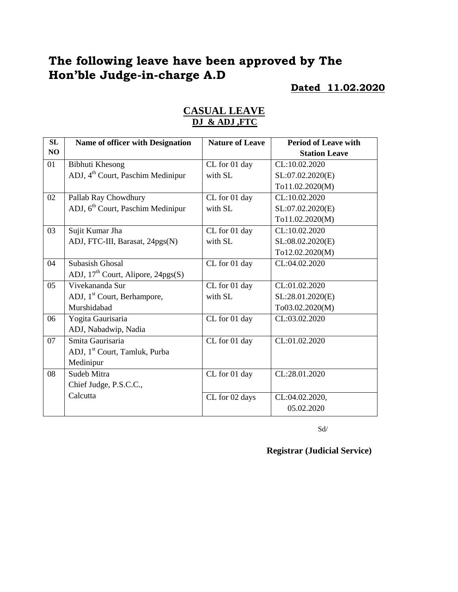# **The following leave have been approved by The Hon'ble Judge-in-charge A.D**

#### **Dated 11.02.2020**

| SL | <b>Name of officer with Designation</b>       | <b>Nature of Leave</b> | <b>Period of Leave with</b> |
|----|-----------------------------------------------|------------------------|-----------------------------|
| NO |                                               |                        | <b>Station Leave</b>        |
| 01 | Bibhuti Khesong                               | CL for 01 day          | CL:10.02.2020               |
|    | ADJ, 4 <sup>th</sup> Court, Paschim Medinipur | with SL                | SL:07.02.2020(E)            |
|    |                                               |                        | To11.02.2020(M)             |
| 02 | Pallab Ray Chowdhury                          | CL for 01 day          | CL:10.02.2020               |
|    | ADJ, 6 <sup>th</sup> Court, Paschim Medinipur | with SL                | SL:07.02.2020(E)            |
|    |                                               |                        | To11.02.2020(M)             |
| 03 | Sujit Kumar Jha                               | CL for 01 day          | CL:10.02.2020               |
|    | ADJ, FTC-III, Barasat, 24pgs(N)               | with SL                | SL:08.02.2020(E)            |
|    |                                               |                        | To12.02.2020(M)             |
| 04 | <b>Subasish Ghosal</b>                        | CL for 01 day          | CL:04.02.2020               |
|    | ADJ, $17th$ Court, Alipore, $24pgs(S)$        |                        |                             |
| 05 | Vivekananda Sur                               | CL for 01 day          | CL:01.02.2020               |
|    | ADJ, 1 <sup>st</sup> Court, Berhampore,       | with SL                | SL:28.01.2020(E)            |
|    | Murshidabad                                   |                        | To03.02.2020(M)             |
| 06 | Yogita Gaurisaria                             | CL for 01 day          | CL:03.02.2020               |
|    | ADJ, Nabadwip, Nadia                          |                        |                             |
| 07 | Smita Gaurisaria                              | CL for 01 day          | CL:01.02.2020               |
|    | ADJ, 1 <sup>st</sup> Court, Tamluk, Purba     |                        |                             |
|    | Medinipur                                     |                        |                             |
| 08 | Sudeb Mitra                                   | CL for 01 day          | CL:28.01.2020               |
|    | Chief Judge, P.S.C.C.,                        |                        |                             |
|    | Calcutta                                      | CL for 02 days         | CL:04.02.2020,              |
|    |                                               |                        | 05.02.2020                  |

### **CASUAL LEAVE DJ & ADJ ,FTC**

Sd/

**Registrar (Judicial Service)**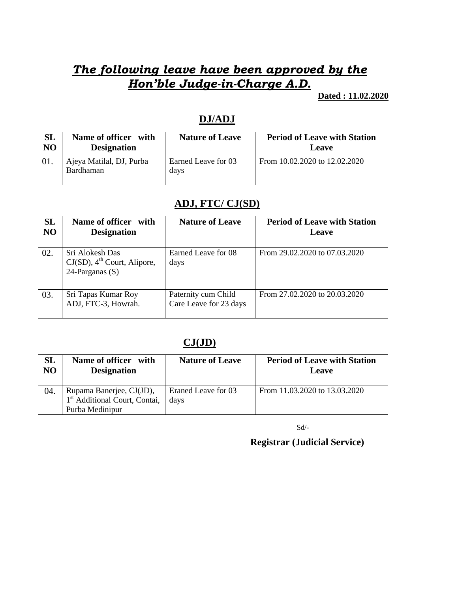# *The following leave have been approved by the Hon'ble Judge-in-Charge A.D.*

**Dated : 11.02.2020**

### **DJ/ADJ**

| <b>SL</b>      | Name of officer with                  | <b>Nature of Leave</b>      | <b>Period of Leave with Station</b> |
|----------------|---------------------------------------|-----------------------------|-------------------------------------|
| N <sub>O</sub> | <b>Designation</b>                    |                             | Leave                               |
|                | Ajeya Matilal, DJ, Purba<br>Bardhaman | Earned Leave for 03<br>days | From 10.02.2020 to 12.02.2020       |

### **ADJ, FTC/ CJ(SD)**

| SL<br>N <sub>O</sub> | Name of officer with<br><b>Designation</b>                                         | <b>Nature of Leave</b>                        | <b>Period of Leave with Station</b><br>Leave |
|----------------------|------------------------------------------------------------------------------------|-----------------------------------------------|----------------------------------------------|
| 02.                  | Sri Alokesh Das<br>$CJ(SD)$ , 4 <sup>th</sup> Court, Alipore,<br>24-Parganas $(S)$ | Earned Leave for 08<br>days                   | From 29.02.2020 to 07.03.2020                |
| 03.                  | Sri Tapas Kumar Roy<br>ADJ, FTC-3, Howrah.                                         | Paternity cum Child<br>Care Leave for 23 days | From 27.02.2020 to 20.03.2020                |

## **CJ(JD)**

| $\mathbf{SL}% _{T}$<br>N <sub>O</sub> | <b>Name of officer</b><br>with<br><b>Designation</b>                  | <b>Nature of Leave</b>      | <b>Period of Leave with Station</b><br>Leave |
|---------------------------------------|-----------------------------------------------------------------------|-----------------------------|----------------------------------------------|
| 04.                                   | Rupama Banerjee, CJ(JD),<br>1 <sup>st</sup> Additional Court, Contai, | Eraned Leave for 03<br>days | From 11.03.2020 to 13.03.2020                |
|                                       | Purba Medinipur                                                       |                             |                                              |

 $\mbox{Sd}/\mbox{-}$ 

 **Registrar (Judicial Service)**